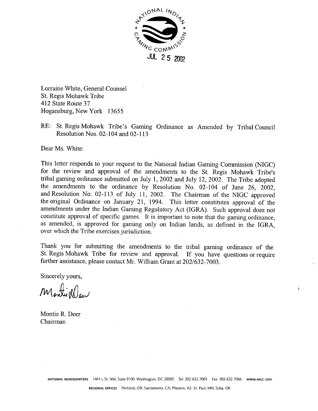

Lorraine White, General Counsel St. Regis Mohawk Tribe 412 State Route 37 Hogansburg, New York 13655

RE: St. Regis Mohawk Tribe's Gaming Ordinance as Amended by Tribal Council Resolution Nos. 02-104 and 02-113

Dear Ms. White:

This letter responds to your request to the National Indian Gaming Commission (NIGC) for the review and approval of the amendments to the St. Regis Mohawk Tribe's tribal gaming ordinance submitted on July 1, 2002 and July 12, 2002. The Tribe adopted the amendments to the ordinance by Resolution No. 02-104 of June 26, 2002, and Resolution No. 02-113 of July 11, 2002. The Chairman of the NIGC approved the original Ordinance on January 21, 1994. This letter constitutes approval of the amendments under the Indian Gaming Regulatory Act (IGRA). Such approval does not constitute approval of specific games. It is important to note that the gaming ordinance, as amended, is approved for gaming only on Indian lands, as defined in the IGRA, over which the Tribe exercises jurisdiction.

Thank you for submitting the amendments to the tribal gaming ordinance of the St. Regis Mohawk Tribe for review and approval. If you have questions or require further assistance, please contact Mr. William Grant at 202/632-7003.

ï

Sincerely yours,

Montillew

Montie R. Deer Chairman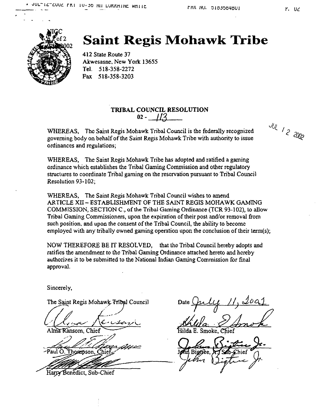

## **Saint Regis Mohawk Tribe**

**412 State Route 37 Akwesasne, New York 13655 Tel. 518-358-2272 Fax 518-358-3203**

### **TRIBAL COUNCIL RESOLUTiON 02- 1/3**

 $WHEREAS$ , The Saint Regis Mohawk Tribal Council is the federally recognized **governing body on behalf of the Saint Regis Mohawk Tribe with authority to issue ordinances and regulations;**

**WHEREAS, The Saint Regis Mohawk Tribe has adopted and ratified <sup>a</sup> gaming ordinance which establishes the Tribal Gaining Commission and other regulatory structures to coordinate Tribal gaming on the reservation pursuant to Tribal Council Resolution 93-102;**

**WHEREAS, The Saint Regis Mohawk Tribal Council wishes to amend ARTICLE Xli - ESTABLISHMENT OF THE SAINT REGIS MOHAWK GAMING COMMISSION, SECTION C., of the Tribal Gaming Ordinance (TCR 93-102), to allow Tribal Gaming Commissioners, upon the expiration of their post and/or removal from such position, and upon the consent of the Tribal Council, the ability to become employed with any tribally owned gaming operation upon the conclusion of their term(s);**

**NOW THEREFORE BE IT RESOLVED, that the Tribal Council hereby adopts and ratifies the amendment to the Tribal Gaming Ordinance attached hereto and hereby authorizes it to be submitted to the National Indian Gaming Commission for final approval.**

**Sincerely,**

**The Saint Regis Mohawk Tribal Council**<br> **Council** 

Alma Ransom, Chief

-Paul O. Thompson,

**t, Sub-Chief**

Date July 11, 2001

**~L ilda E. Smoke, ief**

Jean Bierce, <del>17, Sab-Chief</del>

**JUL** 1 2 2002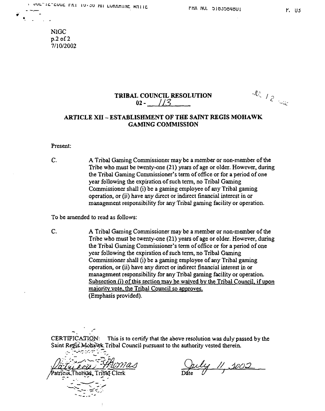**N1GC p.2 of 2 7/10/2002**

**V**

### **TRIBAL COUNCIL RESOLUTION ...**  $\frac{d\mathcal{L}}{2}$  / 2  $02 - 1/3$

### **ARTICLE XII - ESTABLISHMENT OF THE SAINT REGIS MOHAWK GAMING COMMISSION**

**Present:**

**A Tribal Gaming Commissioner may be <sup>a</sup> member or non-member of the Tribe who must be twenty-one (21) years of age or older. However, during the Tribal Gaming Commissioners term of office or for a period of one year following the expiration of such term, no Tribal Gaming Commissioner shall (i) be <sup>a</sup> gaming employee of any Tribal gaming operation, or (ii) have any direct or indirect financial interest in or management responsibility for any Tribal gaming facility or operation. C.**

**To be amended to read as follows:**

**A Tribal Gaining Commissioner may be <sup>a</sup> member or non-member of the Tribe who must be twenty-one (21) years of age or older. However, during the Tribal Gaming Commissioners term of office or for a period of one year following the expiration of such term, no Tribal Gaming Commissioner shall (i) be <sup>a</sup> gaming employee of any Tribal gaming operation, or (ii) have any direct or indirect financial interest in or management responsibility for any Tribal gaming facility or operation. Subsection 0) of this section may be waived bvthe Tribal Council. if upon majority vote**, the Tribal Council so approves. **(Emphasis provided). C.**

**CERTtFICA~flQ\$: This is to certify that the above resolution was duly passed by the Saint R~ ii~kTribal Council pursuant to the authority vested therein.**

**., ,i: .-**  $\sqrt{\text{Patriicial}.\text{Thorn2s}}$ , Tribat Clerk Date

as duly passed<br>
d therein.<br>
<u>// \$005</u>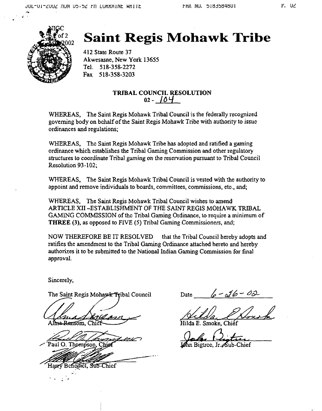

# **Saint Regis Mohawk Tribe**

**412 State Route 37 Akwesasne, New York 13655 Tel. 518-358-2272 Fax 518-358-3203**

### **TRIBAL COUNCIL RESOLUTION**  $02 - 104$

**WHEREAS, The Saint Regis Mohawk Tribal Council is the federally recognized governing body on behalf of the Saint Regis Mohawk Tribe with authority to issue ordinances and regulations;**

**WHEREAS, The Saint Regis Mohawk Tribe has adopted and ratified <sup>a</sup> gaining ordinance which establishes the Tribal Gaming Commission and other regulatory structures to coordinate Tribal gaming on the reservation pursuant to Tribal Council Resolution 93-102;**

**WHEREAS, The Saint Regis Mohawk Tribal Council is vested with the authority to appoint and remove individuals to boards, committees, commissions, eto., and;**

**WHEREAS, The Saint Regis Mohawk Tribal Council wishes to amend ARTICLE XII -ESTABLISHMENT OF THE SAINT REGiS MOHAWK TRIBAL GAMiNG COMMISSION of the Tribal Gaming Ordinance, to require <sup>a</sup> minimum of THREE (3), as opposed to FIVE (5) Thbal Gaming Commissioners, and;**

**NOW THEREFORE BE IT RESOLVED that the Tribal Council hereby adopts and ratifies the amendment to the Tribal Gaming Ordinance attached hereto and hereby authorizes it to be submitted to the National Indian Gaming Commission for final approval.**

**Sincerely,**

**omision, Chief Hilda E.** Smoke, Chief

Paul O. Thompson, Chie

Harry Benedict. Sub-Chief

The Saint Regis Mohawk Tribal Council Date  $\left( \rho - \sqrt{\rho} \right)$ 

Centre